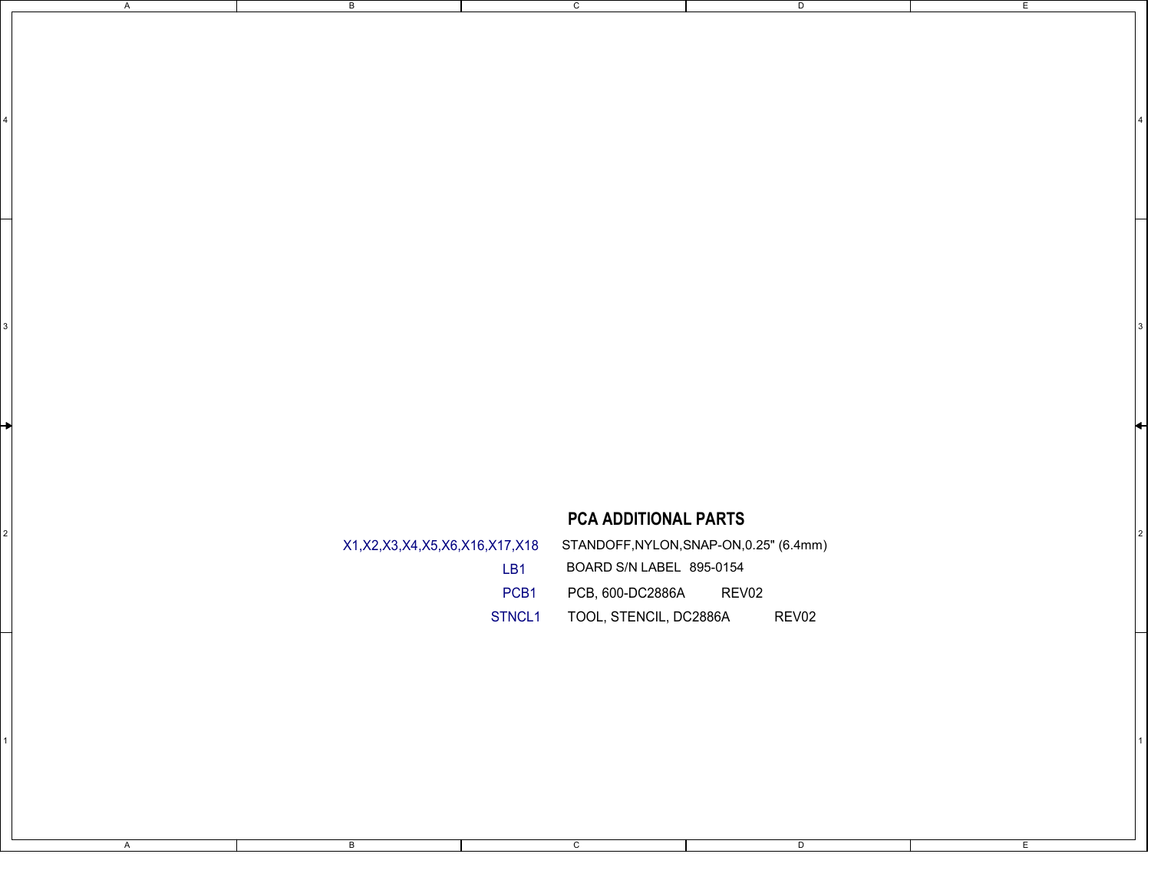## PCA ADDITIONAL PARTS

|                                                                            | PCA ADDITIONAL PARTS                                                                                                                |  |
|----------------------------------------------------------------------------|-------------------------------------------------------------------------------------------------------------------------------------|--|
| X1, X2, X3, X4, X5, X6, X16, X17, X18<br>LB <sub>1</sub><br>PCB1<br>STNCL1 | STANDOFF, NYLON, SNAP-ON, 0.25" (6.4mm)<br>BOARD S/N LABEL 895-0154<br>PCB, 600-DC2886A<br>REV02<br>TOOL, STENCIL, DC2886A<br>REV02 |  |
|                                                                            |                                                                                                                                     |  |

 $\overline{c}$ 

1 | $\blacksquare$ 

 $\overline{c}$ 

 $4 \mid$ 

D

E

E

 $\overline{D}$ 

A

B

 $\overline{B}$ 

A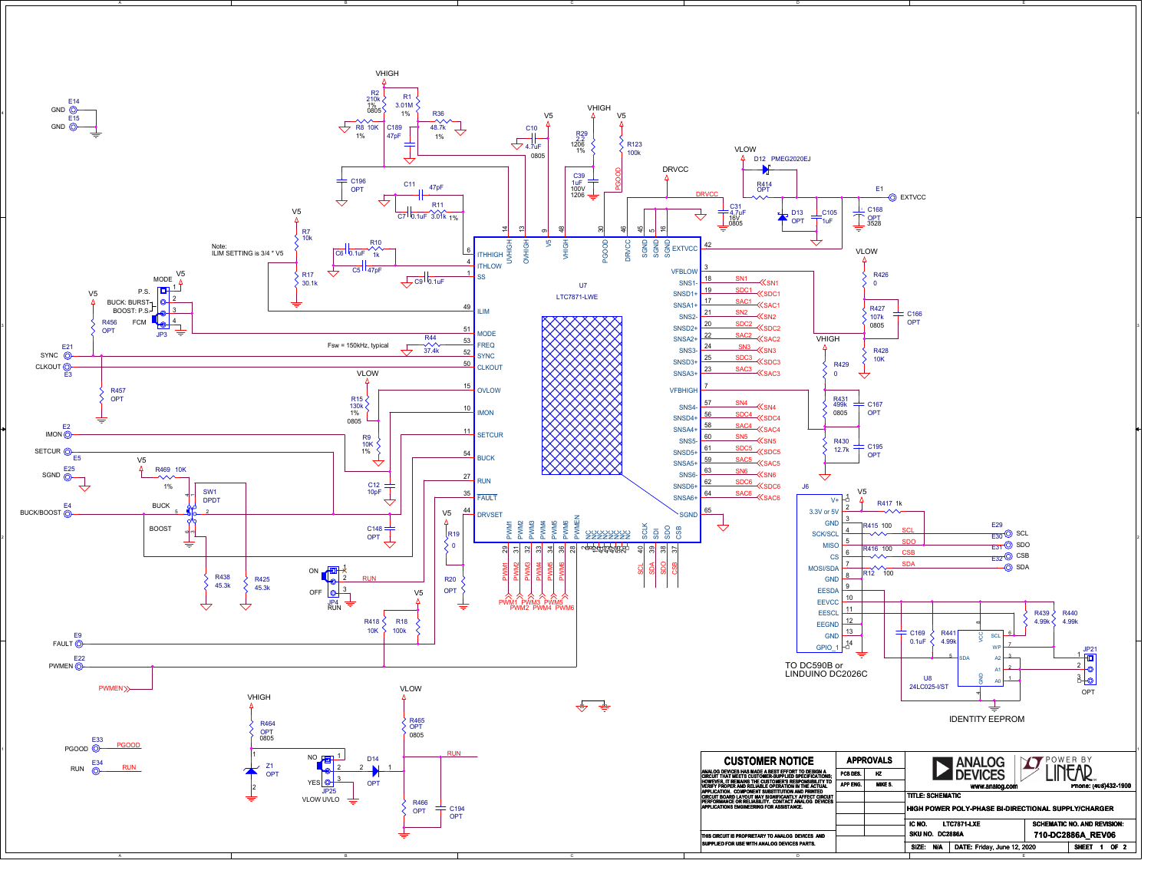